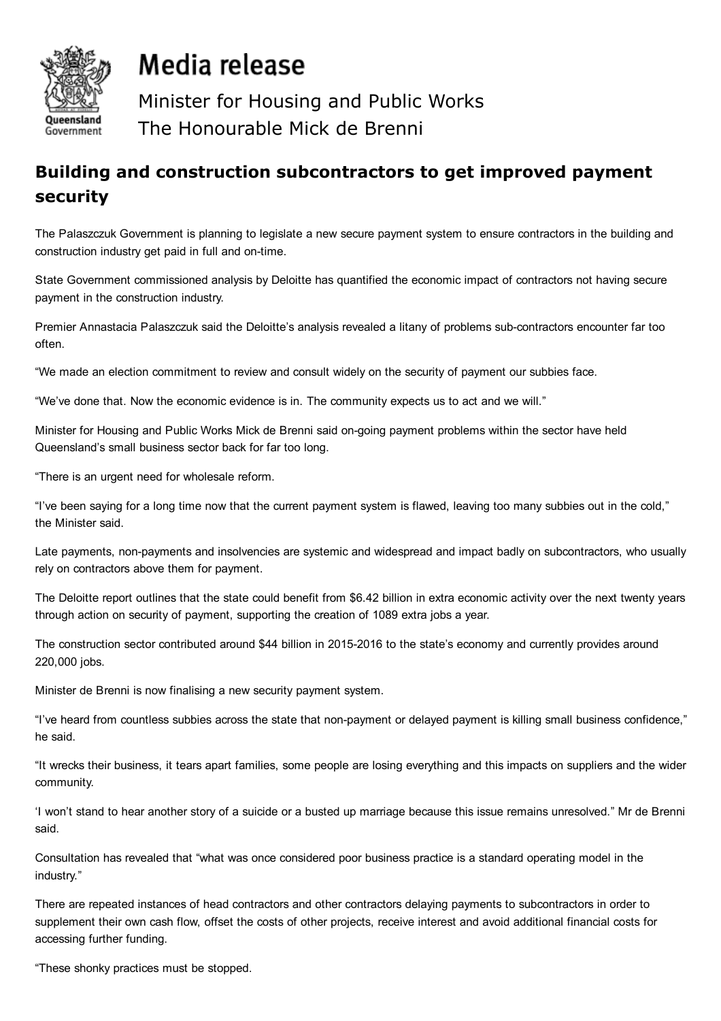

## Media release

Minister for Housing and Public Works The Honourable Mick de Brenni

## Building and construction subcontractors to get improved payment security

The Palaszczuk Government is planning to legislate a new secure payment system to ensure contractors in the building and construction industry get paid in full and on-time.

State Government commissioned analysis by Deloitte has quantified the economic impact of contractors not having secure payment in the construction industry.

Premier Annastacia Palaszczuk said the Deloitte's analysis revealed a litany of problems sub-contractors encounter far too often.

"We made an election commitment to review and consult widely on the security of payment our subbies face.

"We've done that. Now the economic evidence is in. The community expects us to act and we will."

Minister for Housing and Public Works Mick de Brenni said on-going payment problems within the sector have held Queensland's small business sector back for far too long.

"There is an urgent need for wholesale reform.

"I've been saying for a long time now that the current payment system is flawed, leaving too many subbies out in the cold," the Minister said.

Late payments, non-payments and insolvencies are systemic and widespread and impact badly on subcontractors, who usually rely on contractors above them for payment.

The Deloitte report outlines that the state could benefit from \$6.42 billion in extra economic activity over the next twenty years through action on security of payment, supporting the creation of 1089 extra jobs a year.

The construction sector contributed around \$44 billion in 20152016 to the state's economy and currently provides around 220,000 jobs.

Minister de Brenni is now finalising a new security payment system.

"I've heard from countless subbies across the state that non-payment or delayed payment is killing small business confidence," he said.

"It wrecks their business, it tears apart families, some people are losing everything and this impacts on suppliers and the wider community.

'I won't stand to hear another story of a suicide or a busted up marriage because this issue remains unresolved." Mr de Brenni said.

Consultation has revealed that "what was once considered poor business practice is a standard operating model in the industry."

There are repeated instances of head contractors and other contractors delaying payments to subcontractors in order to supplement their own cash flow, offset the costs of other projects, receive interest and avoid additional financial costs for accessing further funding.

"These shonky practices must be stopped.